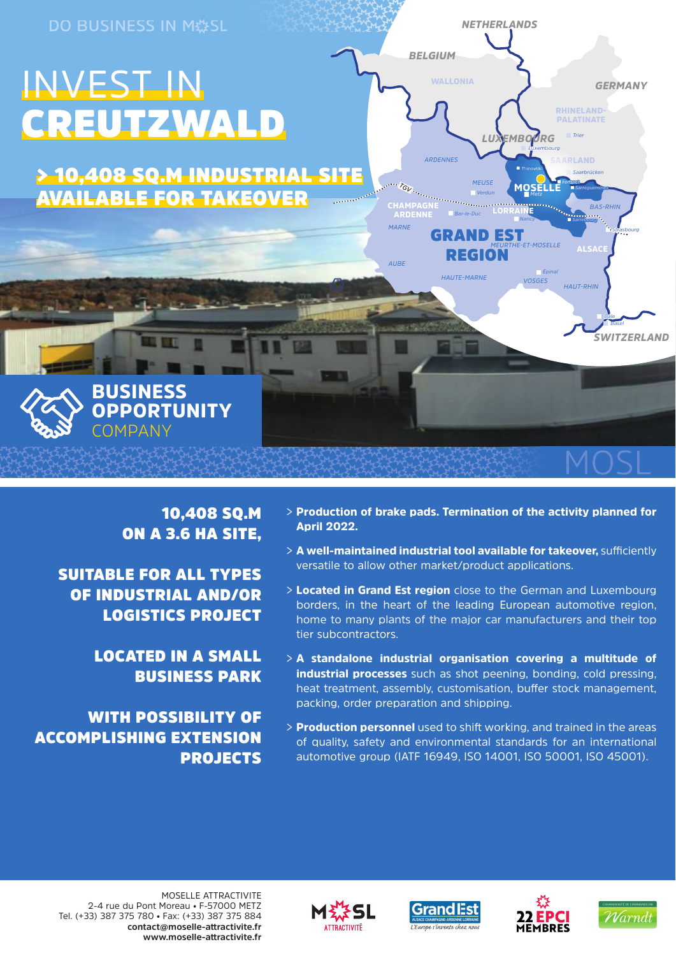

# 10,408 SQ.M ON A 3.6 HA SITE,

SUITABLE FOR ALL TYPES OF INDUSTRIAL AND/OR LOGISTICS PROJECT

> LOCATED IN A SMALL BUSINESS PARK

WITH POSSIBILITY OF ACCOMPLISHING EXTENSION PROJECTS

- > Production of brake pads. Termination of the activity planned for April 2022.
- > A well-maintained industrial tool available for takeover, sufficiently versatile to allow other market/product applications.
- > Located in Grand Est region close to the German and Luxembourg borders, in the heart of the leading European automotive region, home to many plants of the major car manufacturers and their top tier subcontractors.
- $> A$  standalone industrial organisation covering a multitude of industrial processes such as shot peening, bonding, cold pressing, heat treatment, assembly, customisation, buffer stock management, packing, order preparation and shipping.
- > Production personnel used to shift working, and trained in the areas of quality, safety and environmental standards for an international automotive group (IATF 16949, ISO 14001, ISO 50001, ISO 45001).

MOSELLE ATTRACTIVITE 2-4 rue du Pont Moreau • F-57000 METZ Tel. (+33) 387 375 780 • Fax: (+33) 387 375 884 **contact@moselle-att ractivite.fr www.moselle-att ractivite.fr**